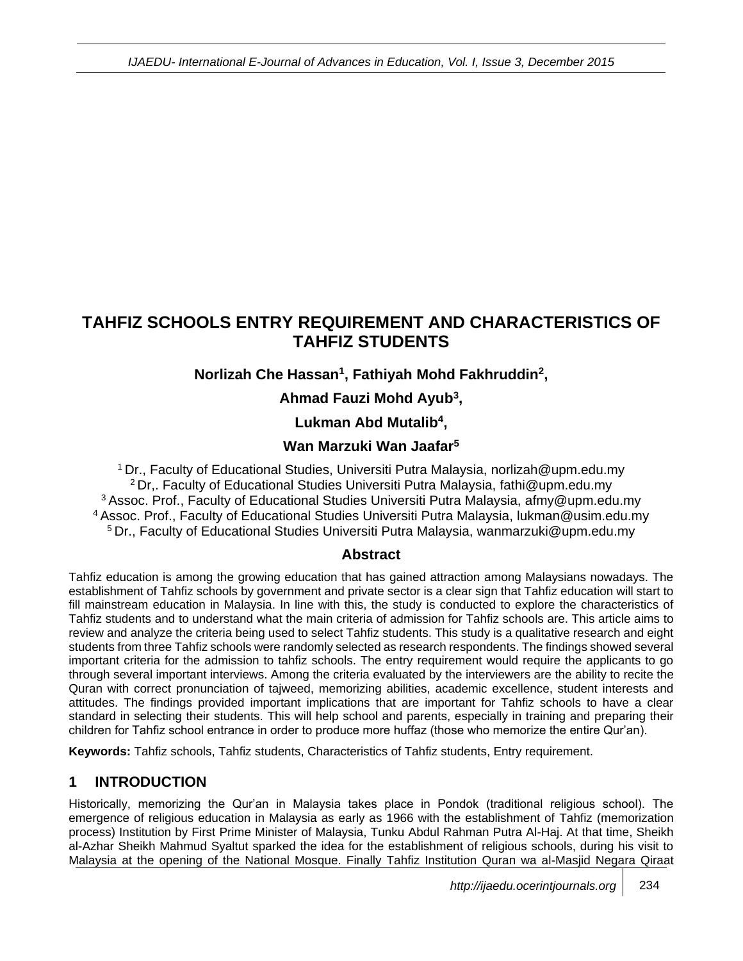# **TAHFIZ SCHOOLS ENTRY REQUIREMENT AND CHARACTERISTICS OF TAHFIZ STUDENTS**

## **Norlizah Che Hassan<sup>1</sup> , Fathiyah Mohd Fakhruddin<sup>2</sup> ,**

## **Ahmad Fauzi Mohd Ayub<sup>3</sup> ,**

## **Lukman Abd Mutalib<sup>4</sup> ,**

## **Wan Marzuki Wan Jaafar<sup>5</sup>**

Dr., Faculty of Educational Studies, Universiti Putra Malaysia, norlizah@upm.edu.my Dr,. Faculty of Educational Studies Universiti Putra Malaysia, fathi@upm.edu.my Assoc. Prof., Faculty of Educational Studies Universiti Putra Malaysia, afmy@upm.edu.my Assoc. Prof., Faculty of Educational Studies Universiti Putra Malaysia, lukman@usim.edu.my Dr., Faculty of Educational Studies Universiti Putra Malaysia, wanmarzuki@upm.edu.my

#### **Abstract**

Tahfiz education is among the growing education that has gained attraction among Malaysians nowadays. The establishment of Tahfiz schools by government and private sector is a clear sign that Tahfiz education will start to fill mainstream education in Malaysia. In line with this, the study is conducted to explore the characteristics of Tahfiz students and to understand what the main criteria of admission for Tahfiz schools are. This article aims to review and analyze the criteria being used to select Tahfiz students. This study is a qualitative research and eight students from three Tahfiz schools were randomly selected as research respondents. The findings showed several important criteria for the admission to tahfiz schools. The entry requirement would require the applicants to go through several important interviews. Among the criteria evaluated by the interviewers are the ability to recite the Quran with correct pronunciation of tajweed, memorizing abilities, academic excellence, student interests and attitudes. The findings provided important implications that are important for Tahfiz schools to have a clear standard in selecting their students. This will help school and parents, especially in training and preparing their children for Tahfiz school entrance in order to produce more huffaz (those who memorize the entire Qur'an).

**Keywords:** Tahfiz schools, Tahfiz students, Characteristics of Tahfiz students, Entry requirement.

## **1 INTRODUCTION**

Historically, memorizing the Qur'an in Malaysia takes place in Pondok (traditional religious school). The emergence of religious education in Malaysia as early as 1966 with the establishment of Tahfiz (memorization process) Institution by First Prime Minister of Malaysia, Tunku Abdul Rahman Putra Al-Haj. At that time, Sheikh al-Azhar Sheikh Mahmud Syaltut sparked the idea for the establishment of religious schools, during his visit to Malaysia at the opening of the National Mosque. Finally Tahfiz Institution Quran wa al-Masjid Negara Qiraat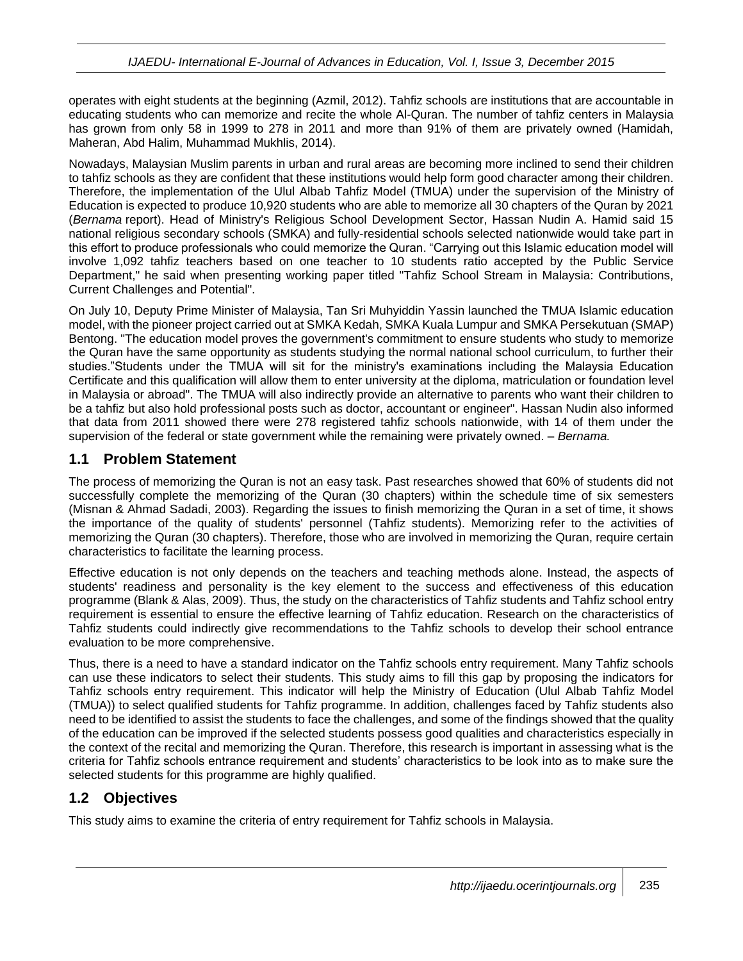operates with eight students at the beginning (Azmil, 2012). Tahfiz schools are institutions that are accountable in educating students who can memorize and recite the whole Al-Quran. The number of tahfiz centers in Malaysia has grown from only 58 in 1999 to 278 in 2011 and more than 91% of them are privately owned (Hamidah, Maheran, Abd Halim, Muhammad Mukhlis, 2014).

Nowadays, Malaysian Muslim parents in urban and rural areas are becoming more inclined to send their children to tahfiz schools as they are confident that these institutions would help form good character among their children. Therefore, the implementation of the Ulul Albab Tahfiz Model (TMUA) under the supervision of the Ministry of Education is expected to produce 10,920 students who are able to memorize all 30 chapters of the Quran by 2021 (*Bernama* report). Head of Ministry's Religious School Development Sector, Hassan Nudin A. Hamid said 15 national religious secondary schools (SMKA) and fully-residential schools selected nationwide would take part in this effort to produce professionals who could memorize the Quran. "Carrying out this Islamic education model will involve 1,092 tahfiz teachers based on one teacher to 10 students ratio accepted by the Public Service Department," he said when presenting working paper titled "Tahfiz School Stream in Malaysia: Contributions, Current Challenges and Potential".

On July 10, Deputy Prime Minister of Malaysia, Tan Sri Muhyiddin Yassin launched the TMUA Islamic education model, with the pioneer project carried out at SMKA Kedah, SMKA Kuala Lumpur and SMKA Persekutuan (SMAP) Bentong. "The education model proves the government's commitment to ensure students who study to memorize the Quran have the same opportunity as students studying the normal national school curriculum, to further their studies."Students under the TMUA will sit for the ministry's examinations including the Malaysia Education Certificate and this qualification will allow them to enter university at the diploma, matriculation or foundation level in Malaysia or abroad". The TMUA will also indirectly provide an alternative to parents who want their children to be a tahfiz but also hold professional posts such as doctor, accountant or engineer". Hassan Nudin also informed that data from 2011 showed there were 278 registered tahfiz schools nationwide, with 14 of them under the supervision of the federal or state government while the remaining were privately owned. – *Bernama.*

#### **1.1 Problem Statement**

The process of memorizing the Quran is not an easy task. Past researches showed that 60% of students did not successfully complete the memorizing of the Quran (30 chapters) within the schedule time of six semesters (Misnan & Ahmad Sadadi, 2003). Regarding the issues to finish memorizing the Quran in a set of time, it shows the importance of the quality of students' personnel (Tahfiz students). Memorizing refer to the activities of memorizing the Quran (30 chapters). Therefore, those who are involved in memorizing the Quran, require certain characteristics to facilitate the learning process.

Effective education is not only depends on the teachers and teaching methods alone. Instead, the aspects of students' readiness and personality is the key element to the success and effectiveness of this education programme (Blank & Alas, 2009). Thus, the study on the characteristics of Tahfiz students and Tahfiz school entry requirement is essential to ensure the effective learning of Tahfiz education. Research on the characteristics of Tahfiz students could indirectly give recommendations to the Tahfiz schools to develop their school entrance evaluation to be more comprehensive.

Thus, there is a need to have a standard indicator on the Tahfiz schools entry requirement. Many Tahfiz schools can use these indicators to select their students. This study aims to fill this gap by proposing the indicators for Tahfiz schools entry requirement. This indicator will help the Ministry of Education (Ulul Albab Tahfiz Model (TMUA)) to select qualified students for Tahfiz programme. In addition, challenges faced by Tahfiz students also need to be identified to assist the students to face the challenges, and some of the findings showed that the quality of the education can be improved if the selected students possess good qualities and characteristics especially in the context of the recital and memorizing the Quran. Therefore, this research is important in assessing what is the criteria for Tahfiz schools entrance requirement and students' characteristics to be look into as to make sure the selected students for this programme are highly qualified.

## **1.2 Objectives**

This study aims to examine the criteria of entry requirement for Tahfiz schools in Malaysia.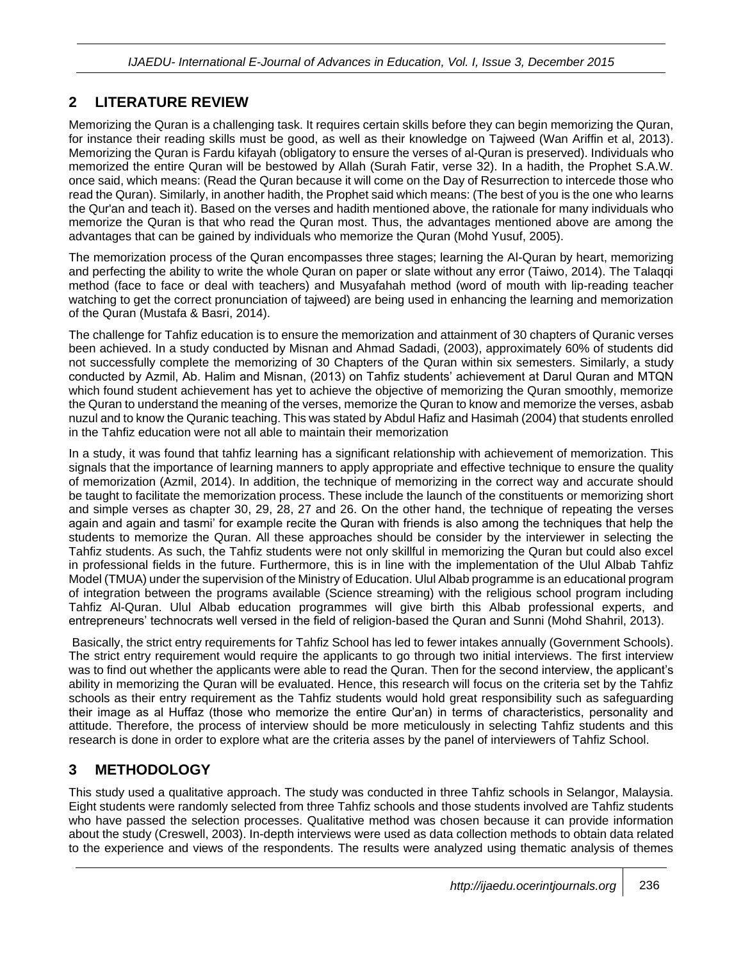# **2 LITERATURE REVIEW**

Memorizing the Quran is a challenging task. It requires certain skills before they can begin memorizing the Quran, for instance their reading skills must be good, as well as their knowledge on Tajweed (Wan Ariffin et al, 2013). Memorizing the Quran is Fardu kifayah (obligatory to ensure the verses of al-Quran is preserved). Individuals who memorized the entire Quran will be bestowed by Allah (Surah Fatir, verse 32). In a hadith, the Prophet S.A.W. once said, which means: (Read the Quran because it will come on the Day of Resurrection to intercede those who read the Quran). Similarly, in another hadith, the Prophet said which means: (The best of you is the one who learns the Qur'an and teach it). Based on the verses and hadith mentioned above, the rationale for many individuals who memorize the Quran is that who read the Quran most. Thus, the advantages mentioned above are among the advantages that can be gained by individuals who memorize the Quran (Mohd Yusuf, 2005).

The memorization process of the Quran encompasses three stages; learning the Al-Quran by heart, memorizing and perfecting the ability to write the whole Quran on paper or slate without any error (Taiwo, 2014). The Talaqqi method (face to face or deal with teachers) and Musyafahah method (word of mouth with lip-reading teacher watching to get the correct pronunciation of tajweed) are being used in enhancing the learning and memorization of the Quran (Mustafa & Basri, 2014).

The challenge for Tahfiz education is to ensure the memorization and attainment of 30 chapters of Quranic verses been achieved. In a study conducted by Misnan and Ahmad Sadadi, (2003), approximately 60% of students did not successfully complete the memorizing of 30 Chapters of the Quran within six semesters. Similarly, a study conducted by Azmil, Ab. Halim and Misnan, (2013) on Tahfiz students' achievement at Darul Quran and MTQN which found student achievement has yet to achieve the objective of memorizing the Quran smoothly, memorize the Quran to understand the meaning of the verses, memorize the Quran to know and memorize the verses, asbab nuzul and to know the Quranic teaching. This was stated by Abdul Hafiz and Hasimah (2004) that students enrolled in the Tahfiz education were not all able to maintain their memorization

In a study, it was found that tahfiz learning has a significant relationship with achievement of memorization. This signals that the importance of learning manners to apply appropriate and effective technique to ensure the quality of memorization (Azmil, 2014). In addition, the technique of memorizing in the correct way and accurate should be taught to facilitate the memorization process. These include the launch of the constituents or memorizing short and simple verses as chapter 30, 29, 28, 27 and 26. On the other hand, the technique of repeating the verses again and again and tasmi' for example recite the Quran with friends is also among the techniques that help the students to memorize the Quran. All these approaches should be consider by the interviewer in selecting the Tahfiz students. As such, the Tahfiz students were not only skillful in memorizing the Quran but could also excel in professional fields in the future. Furthermore, this is in line with the implementation of the Ulul Albab Tahfiz Model (TMUA) under the supervision of the Ministry of Education. Ulul Albab programme is an educational program of integration between the programs available (Science streaming) with the religious school program including Tahfiz Al-Quran. Ulul Albab education programmes will give birth this Albab professional experts, and entrepreneurs' technocrats well versed in the field of religion-based the Quran and Sunni (Mohd Shahril, 2013).

Basically, the strict entry requirements for Tahfiz School has led to fewer intakes annually (Government Schools). The strict entry requirement would require the applicants to go through two initial interviews. The first interview was to find out whether the applicants were able to read the Quran. Then for the second interview, the applicant's ability in memorizing the Quran will be evaluated. Hence, this research will focus on the criteria set by the Tahfiz schools as their entry requirement as the Tahfiz students would hold great responsibility such as safeguarding their image as al Huffaz (those who memorize the entire Qur'an) in terms of characteristics, personality and attitude. Therefore, the process of interview should be more meticulously in selecting Tahfiz students and this research is done in order to explore what are the criteria asses by the panel of interviewers of Tahfiz School.

## **3 METHODOLOGY**

This study used a qualitative approach. The study was conducted in three Tahfiz schools in Selangor, Malaysia. Eight students were randomly selected from three Tahfiz schools and those students involved are Tahfiz students who have passed the selection processes. Qualitative method was chosen because it can provide information about the study (Creswell, 2003). In-depth interviews were used as data collection methods to obtain data related to the experience and views of the respondents. The results were analyzed using thematic analysis of themes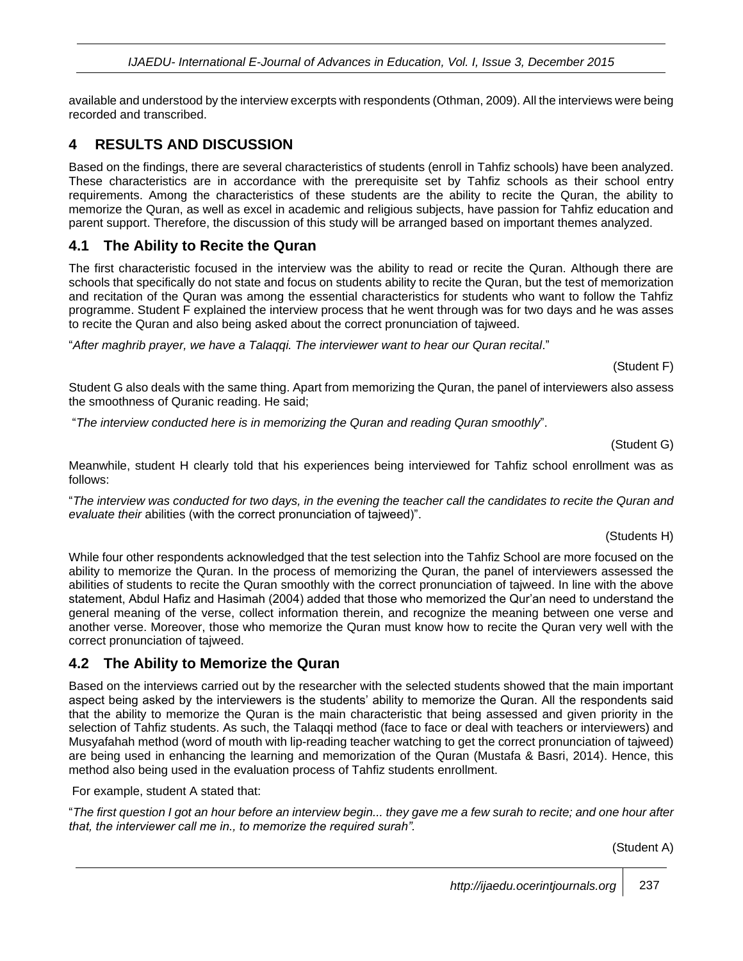*IJAEDU- International E-Journal of Advances in Education, Vol. I, Issue 3, December 2015*

available and understood by the interview excerpts with respondents (Othman, 2009). All the interviews were being recorded and transcribed.

#### **4 RESULTS AND DISCUSSION**

Based on the findings, there are several characteristics of students (enroll in Tahfiz schools) have been analyzed. These characteristics are in accordance with the prerequisite set by Tahfiz schools as their school entry requirements. Among the characteristics of these students are the ability to recite the Quran, the ability to memorize the Quran, as well as excel in academic and religious subjects, have passion for Tahfiz education and parent support. Therefore, the discussion of this study will be arranged based on important themes analyzed.

#### **4.1 The Ability to Recite the Quran**

The first characteristic focused in the interview was the ability to read or recite the Quran. Although there are schools that specifically do not state and focus on students ability to recite the Quran, but the test of memorization and recitation of the Quran was among the essential characteristics for students who want to follow the Tahfiz programme. Student F explained the interview process that he went through was for two days and he was asses to recite the Quran and also being asked about the correct pronunciation of tajweed.

"*After maghrib prayer, we have a Talaqqi. The interviewer want to hear our Quran recital*."

(Student F)

Student G also deals with the same thing. Apart from memorizing the Quran, the panel of interviewers also assess the smoothness of Quranic reading. He said;

"*The interview conducted here is in memorizing the Quran and reading Quran smoothly*".

(Student G)

Meanwhile, student H clearly told that his experiences being interviewed for Tahfiz school enrollment was as follows:

"*The interview was conducted for two days, in the evening the teacher call the candidates to recite the Quran and evaluate their* abilities (with the correct pronunciation of tajweed)".

(Students H)

While four other respondents acknowledged that the test selection into the Tahfiz School are more focused on the ability to memorize the Quran. In the process of memorizing the Quran, the panel of interviewers assessed the abilities of students to recite the Quran smoothly with the correct pronunciation of tajweed. In line with the above statement, Abdul Hafiz and Hasimah (2004) added that those who memorized the Qur'an need to understand the general meaning of the verse, collect information therein, and recognize the meaning between one verse and another verse. Moreover, those who memorize the Quran must know how to recite the Quran very well with the correct pronunciation of tajweed.

#### **4.2 The Ability to Memorize the Quran**

Based on the interviews carried out by the researcher with the selected students showed that the main important aspect being asked by the interviewers is the students' ability to memorize the Quran. All the respondents said that the ability to memorize the Quran is the main characteristic that being assessed and given priority in the selection of Tahfiz students. As such, the Talaqqi method (face to face or deal with teachers or interviewers) and Musyafahah method (word of mouth with lip-reading teacher watching to get the correct pronunciation of tajweed) are being used in enhancing the learning and memorization of the Quran (Mustafa & Basri, 2014). Hence, this method also being used in the evaluation process of Tahfiz students enrollment.

For example, student A stated that:

"*The first question I got an hour before an interview begin... they gave me a few surah to recite; and one hour after that, the interviewer call me in., to memorize the required surah".*

(Student A)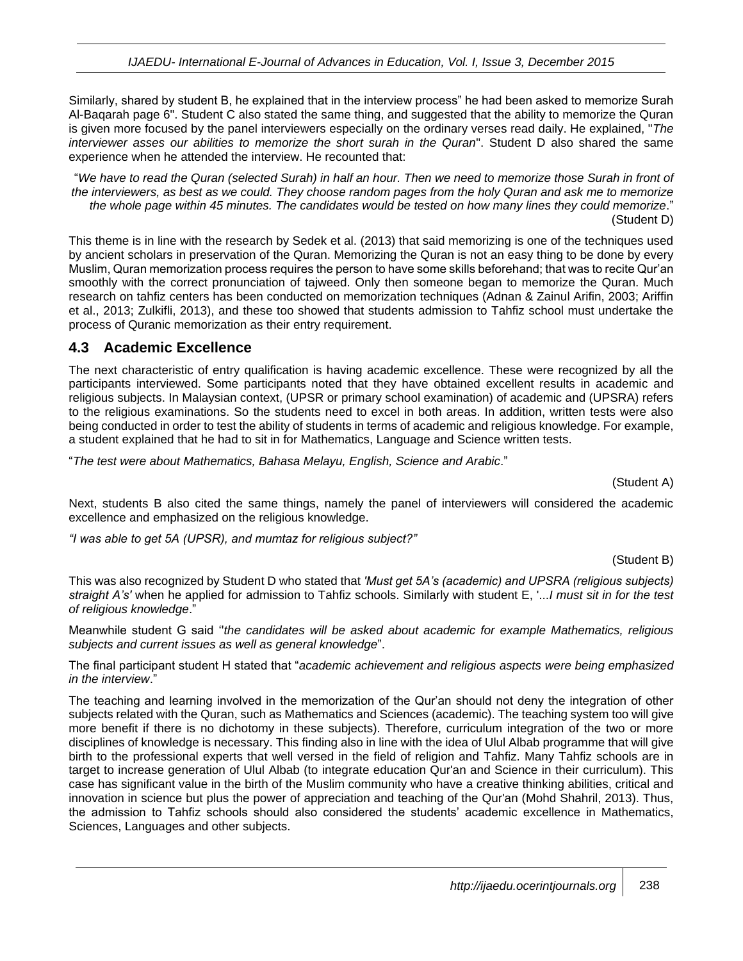Similarly, shared by student B, he explained that in the interview process" he had been asked to memorize Surah Al-Baqarah page 6". Student C also stated the same thing, and suggested that the ability to memorize the Quran is given more focused by the panel interviewers especially on the ordinary verses read daily. He explained, "*The interviewer asses our abilities to memorize the short surah in the Quran*". Student D also shared the same experience when he attended the interview. He recounted that:

"*We have to read the Quran (selected Surah) in half an hour. Then we need to memorize those Surah in front of the interviewers, as best as we could. They choose random pages from the holy Quran and ask me to memorize the whole page within 45 minutes. The candidates would be tested on how many lines they could memorize*." (Student D)

This theme is in line with the research by Sedek et al. (2013) that said memorizing is one of the techniques used by ancient scholars in preservation of the Quran. Memorizing the Quran is not an easy thing to be done by every Muslim, Quran memorization process requires the person to have some skills beforehand; that was to recite Qur'an smoothly with the correct pronunciation of tajweed. Only then someone began to memorize the Quran. Much research on tahfiz centers has been conducted on memorization techniques (Adnan & Zainul Arifin, 2003; Ariffin et al., 2013; Zulkifli, 2013), and these too showed that students admission to Tahfiz school must undertake the process of Quranic memorization as their entry requirement.

### **4.3 Academic Excellence**

The next characteristic of entry qualification is having academic excellence. These were recognized by all the participants interviewed. Some participants noted that they have obtained excellent results in academic and religious subjects. In Malaysian context, (UPSR or primary school examination) of academic and (UPSRA) refers to the religious examinations. So the students need to excel in both areas. In addition, written tests were also being conducted in order to test the ability of students in terms of academic and religious knowledge. For example, a student explained that he had to sit in for Mathematics, Language and Science written tests.

"*The test were about Mathematics, Bahasa Melayu, English, Science and Arabic*."

(Student A)

Next, students B also cited the same things, namely the panel of interviewers will considered the academic excellence and emphasized on the religious knowledge.

*"I was able to get 5A (UPSR), and mumtaz for religious subject?"*

#### (Student B)

This was also recognized by Student D who stated that *'Must get 5A's (academic) and UPSRA (religious subjects) straight A's'* when he applied for admission to Tahfiz schools. Similarly with student E, '...*I must sit in for the test of religious knowledge*."

Meanwhile student G said ''*the candidates will be asked about academic for example Mathematics, religious subjects and current issues as well as general knowledge*".

The final participant student H stated that "*academic achievement and religious aspects were being emphasized in the interview*."

The teaching and learning involved in the memorization of the Qur'an should not deny the integration of other subjects related with the Quran, such as Mathematics and Sciences (academic). The teaching system too will give more benefit if there is no dichotomy in these subjects). Therefore, curriculum integration of the two or more disciplines of knowledge is necessary. This finding also in line with the idea of Ulul Albab programme that will give birth to the professional experts that well versed in the field of religion and Tahfiz. Many Tahfiz schools are in target to increase generation of Ulul Albab (to integrate education Qur'an and Science in their curriculum). This case has significant value in the birth of the Muslim community who have a creative thinking abilities, critical and innovation in science but plus the power of appreciation and teaching of the Qur'an (Mohd Shahril, 2013). Thus, the admission to Tahfiz schools should also considered the students' academic excellence in Mathematics, Sciences, Languages and other subjects.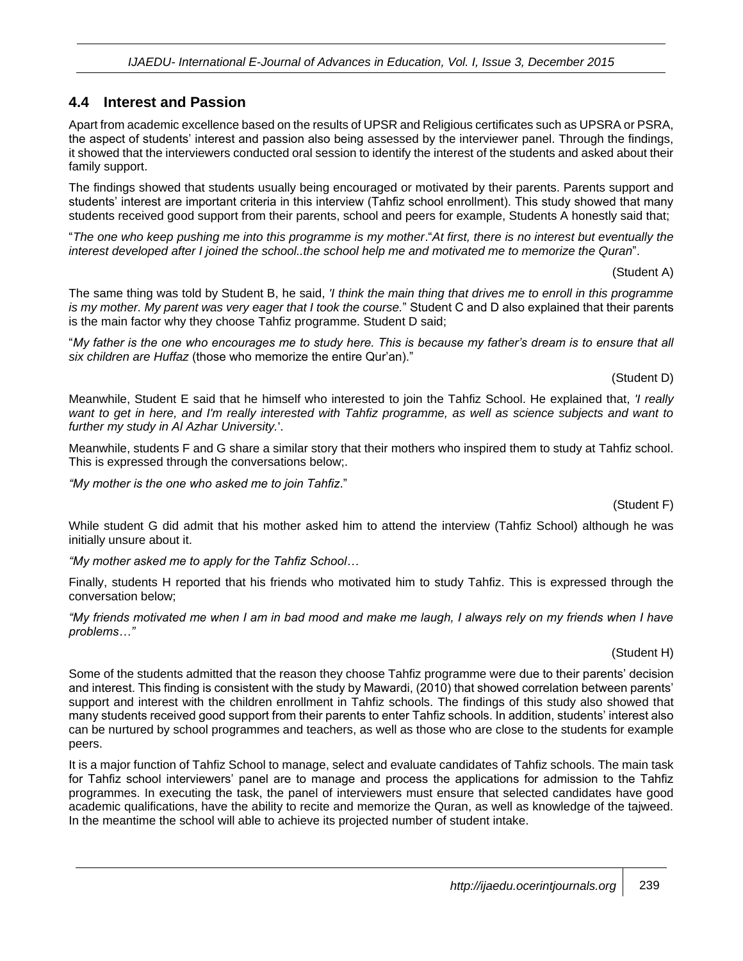#### **4.4 Interest and Passion**

Apart from academic excellence based on the results of UPSR and Religious certificates such as UPSRA or PSRA, the aspect of students' interest and passion also being assessed by the interviewer panel. Through the findings, it showed that the interviewers conducted oral session to identify the interest of the students and asked about their family support.

The findings showed that students usually being encouraged or motivated by their parents. Parents support and students' interest are important criteria in this interview (Tahfiz school enrollment). This study showed that many students received good support from their parents, school and peers for example, Students A honestly said that;

"*The one who keep pushing me into this programme is my mother*."*At first, there is no interest but eventually the interest developed after I joined the school..the school help me and motivated me to memorize the Quran*".

(Student A)

The same thing was told by Student B, he said, *'I think the main thing that drives me to enroll in this programme is my mother. My parent was very eager that I took the course.*" Student C and D also explained that their parents is the main factor why they choose Tahfiz programme. Student D said;

"*My father is the one who encourages me to study here. This is because my father's dream is to ensure that all six children are Huffaz* (those who memorize the entire Qur'an)."

(Student D)

Meanwhile, Student E said that he himself who interested to join the Tahfiz School. He explained that, *'I really want to get in here, and I'm really interested with Tahfiz programme, as well as science subjects and want to further my study in Al Azhar University.*'.

Meanwhile, students F and G share a similar story that their mothers who inspired them to study at Tahfiz school. This is expressed through the conversations below;.

*"My mother is the one who asked me to join Tahfiz*."

(Student F)

While student G did admit that his mother asked him to attend the interview (Tahfiz School) although he was initially unsure about it.

*"My mother asked me to apply for the Tahfiz School…*

Finally, students H reported that his friends who motivated him to study Tahfiz. This is expressed through the conversation below;

*"My friends motivated me when I am in bad mood and make me laugh, I always rely on my friends when I have problems…"*

#### (Student H)

Some of the students admitted that the reason they choose Tahfiz programme were due to their parents' decision and interest. This finding is consistent with the study by Mawardi, (2010) that showed correlation between parents' support and interest with the children enrollment in Tahfiz schools. The findings of this study also showed that many students received good support from their parents to enter Tahfiz schools. In addition, students' interest also can be nurtured by school programmes and teachers, as well as those who are close to the students for example peers.

It is a major function of Tahfiz School to manage, select and evaluate candidates of Tahfiz schools. The main task for Tahfiz school interviewers' panel are to manage and process the applications for admission to the Tahfiz programmes. In executing the task, the panel of interviewers must ensure that selected candidates have good academic qualifications, have the ability to recite and memorize the Quran, as well as knowledge of the tajweed. In the meantime the school will able to achieve its projected number of student intake.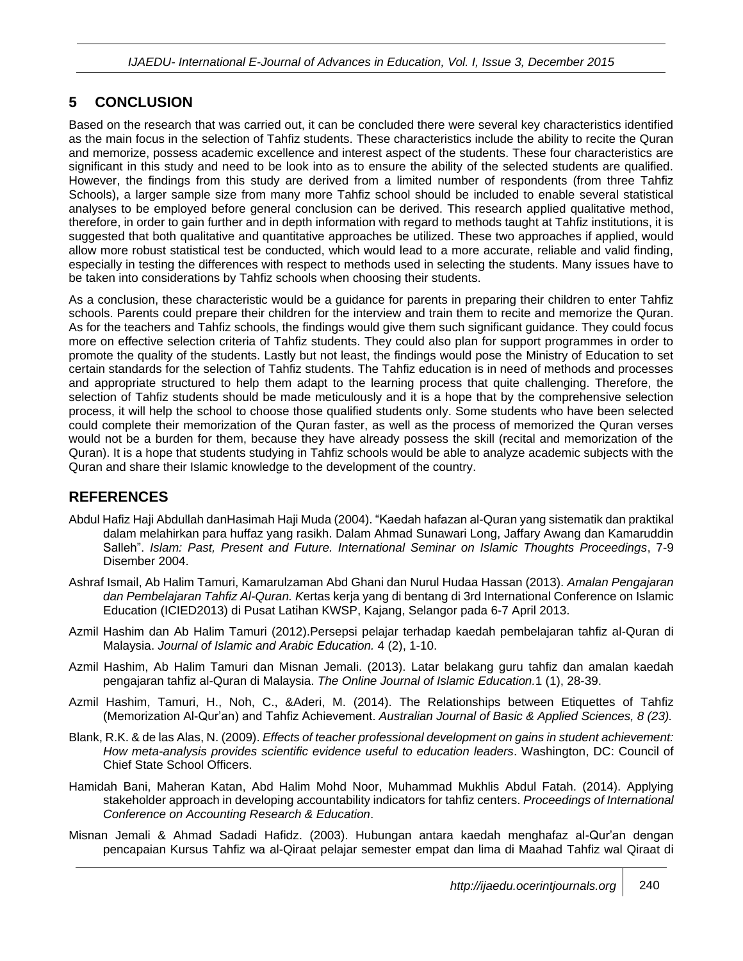## **5 CONCLUSION**

Based on the research that was carried out, it can be concluded there were several key characteristics identified as the main focus in the selection of Tahfiz students. These characteristics include the ability to recite the Quran and memorize, possess academic excellence and interest aspect of the students. These four characteristics are significant in this study and need to be look into as to ensure the ability of the selected students are qualified. However, the findings from this study are derived from a limited number of respondents (from three Tahfiz Schools), a larger sample size from many more Tahfiz school should be included to enable several statistical analyses to be employed before general conclusion can be derived. This research applied qualitative method, therefore, in order to gain further and in depth information with regard to methods taught at Tahfiz institutions, it is suggested that both qualitative and quantitative approaches be utilized. These two approaches if applied, would allow more robust statistical test be conducted, which would lead to a more accurate, reliable and valid finding, especially in testing the differences with respect to methods used in selecting the students. Many issues have to be taken into considerations by Tahfiz schools when choosing their students.

As a conclusion, these characteristic would be a guidance for parents in preparing their children to enter Tahfiz schools. Parents could prepare their children for the interview and train them to recite and memorize the Quran. As for the teachers and Tahfiz schools, the findings would give them such significant guidance. They could focus more on effective selection criteria of Tahfiz students. They could also plan for support programmes in order to promote the quality of the students. Lastly but not least, the findings would pose the Ministry of Education to set certain standards for the selection of Tahfiz students. The Tahfiz education is in need of methods and processes and appropriate structured to help them adapt to the learning process that quite challenging. Therefore, the selection of Tahfiz students should be made meticulously and it is a hope that by the comprehensive selection process, it will help the school to choose those qualified students only. Some students who have been selected could complete their memorization of the Quran faster, as well as the process of memorized the Quran verses would not be a burden for them, because they have already possess the skill (recital and memorization of the Quran). It is a hope that students studying in Tahfiz schools would be able to analyze academic subjects with the Quran and share their Islamic knowledge to the development of the country.

#### **REFERENCES**

- Abdul Hafiz Haji Abdullah danHasimah Haji Muda (2004). "Kaedah hafazan al-Quran yang sistematik dan praktikal dalam melahirkan para huffaz yang rasikh. Dalam Ahmad Sunawari Long, Jaffary Awang dan Kamaruddin Salleh". *Islam: Past, Present and Future. International Seminar on Islamic Thoughts Proceedings*, 7-9 Disember 2004.
- Ashraf Ismail, Ab Halim Tamuri, Kamarulzaman Abd Ghani dan Nurul Hudaa Hassan (2013). *Amalan Pengajaran dan Pembelajaran Tahfiz Al-Quran. K*ertas kerja yang di bentang di 3rd International Conference on Islamic Education (ICIED2013) di Pusat Latihan KWSP, Kajang, Selangor pada 6-7 April 2013.
- Azmil Hashim dan Ab Halim Tamuri (2012).Persepsi pelajar terhadap kaedah pembelajaran tahfiz al-Quran di Malaysia. *Journal of Islamic and Arabic Education.* 4 (2), 1-10.
- Azmil Hashim, Ab Halim Tamuri dan Misnan Jemali. (2013). Latar belakang guru tahfiz dan amalan kaedah pengajaran tahfiz al-Quran di Malaysia. *The Online Journal of Islamic Education.*1 (1), 28-39.
- Azmil Hashim, Tamuri, H., Noh, C., &Aderi, M. (2014). The Relationships between Etiquettes of Tahfiz (Memorization Al-Qur'an) and Tahfiz Achievement. *Australian Journal of Basic & Applied Sciences, 8 (23).*
- Blank, R.K. & de las Alas, N. (2009). *Effects of teacher professional development on gains in student achievement: How meta-analysis provides scientific evidence useful to education leaders*. Washington, DC: Council of Chief State School Officers.
- Hamidah Bani, Maheran Katan, Abd Halim Mohd Noor, Muhammad Mukhlis Abdul Fatah. (2014). Applying stakeholder approach in developing accountability indicators for tahfiz centers. *Proceedings of International Conference on Accounting Research & Education*.
- Misnan Jemali & Ahmad Sadadi Hafidz. (2003). Hubungan antara kaedah menghafaz al-Qur'an dengan pencapaian Kursus Tahfiz wa al-Qiraat pelajar semester empat dan lima di Maahad Tahfiz wal Qiraat di